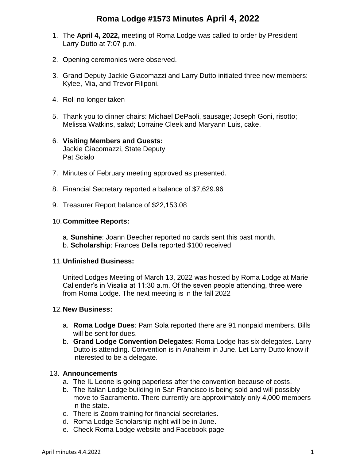## **Roma Lodge #1573 Minutes April 4, 2022**

- 1. The **April 4, 2022,** meeting of Roma Lodge was called to order by President Larry Dutto at 7:07 p.m.
- 2. Opening ceremonies were observed.
- 3. Grand Deputy Jackie Giacomazzi and Larry Dutto initiated three new members: Kylee, Mia, and Trevor Filiponi.
- 4. Roll no longer taken
- 5. Thank you to dinner chairs: Michael DePaoli, sausage; Joseph Goni, risotto; Melissa Watkins, salad; Lorraine Cleek and Maryann Luis, cake.
- 6. **Visiting Members and Guests:** Jackie Giacomazzi, State Deputy Pat Scialo
- 7. Minutes of February meeting approved as presented.
- 8. Financial Secretary reported a balance of \$7,629.96
- 9. Treasurer Report balance of \$22,153.08

#### 10.**Committee Reports:**

- a. **Sunshine**: Joann Beecher reported no cards sent this past month.
- b. **Scholarship**: Frances Della reported \$100 received

#### 11.**Unfinished Business:**

United Lodges Meeting of March 13, 2022 was hosted by Roma Lodge at Marie Callender's in Visalia at 11:30 a.m. Of the seven people attending, three were from Roma Lodge. The next meeting is in the fall 2022

#### 12.**New Business:**

- a. **Roma Lodge Dues**: Pam Sola reported there are 91 nonpaid members. Bills will be sent for dues.
- b. **Grand Lodge Convention Delegates**: Roma Lodge has six delegates. Larry Dutto is attending. Convention is in Anaheim in June. Let Larry Dutto know if interested to be a delegate.

#### 13. **Announcements**

- a. The IL Leone is going paperless after the convention because of costs.
- b. The Italian Lodge building in San Francisco is being sold and will possibly move to Sacramento. There currently are approximately only 4,000 members in the state.
- c. There is Zoom training for financial secretaries.
- d. Roma Lodge Scholarship night will be in June.
- e. Check Roma Lodge website and Facebook page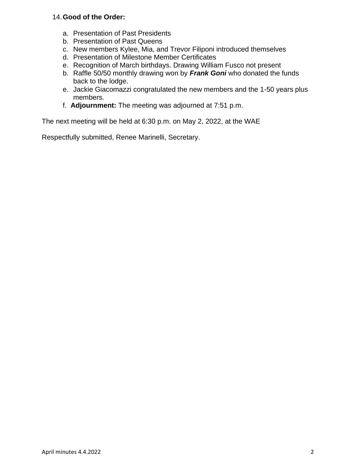## 14.**Good of the Order:**

- a. Presentation of Past Presidents
- b. Presentation of Past Queens
- c. New members Kylee, Mia, and Trevor Filiponi introduced themselves
- d. Presentation of Milestone Member Certificates
- e. Recognition of March birthdays. Drawing William Fusco not present
- b. Raffle 50/50 monthly drawing won by *Frank Goni* who donated the funds back to the lodge.
- e. Jackie Giacomazzi congratulated the new members and the 1-50 years plus members.
- f. **Adjournment:** The meeting was adjourned at 7:51 p.m.

The next meeting will be held at 6:30 p.m. on May 2, 2022, at the WAE

Respectfully submitted, Renee Marinelli, Secretary.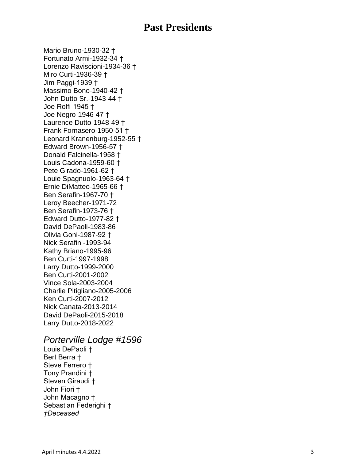# **Past Presidents**

Mario Bruno -1930 -32 † Fortunato Armi -1932 -34 † Lorenzo Raviscioni-1934-36 † Miro Curti -1936 -39 † Jim Paggi -1939 † Massimo Bono-1940-42 <sup>+</sup> John Dutto Sr. -1943 -44 † Joe Rolfi -1945 † Joe Negro -1946 -47 † Laurence Dutto -1948 -49 † Frank Fornasero -1950 -51 † Leonard Kranenburg -1952 -55 † Edward Brown -1956 -57 † Donald Falcinella -1958 † Louis Cadona-1959-60 † Pete Girado -1961 -62 † Louie Spagnuolo -1963 -64 † Ernie DiMatteo -1965 -66 † Ben Serafin -1967 -70 † Leroy Beecher -1971 -72 Ben Serafin -1973 -76 † Edward Dutto -1977 -82 † David DePaoli-1983-86 Olivia Goni -1987 -92 † Nick Serafin -1993 -94 Kathy Briano -1995 -96 Ben Curti -1997 -1998 Larry Dutto -1999 -2000 Ben Curti -2001 -2002 Vince Sola -200 3 -2004 Charlie Pitigliano -2005 -2006 Ken Curti -2007 -2012 Nick Canata -2013 -2014 David DePaoli -2015 -2018 Larry Dutto -2018 -2022

## *Porterville Lodge #1596*

Louis DePaoli † Bert Berra † Steve Ferrero † Tony Prandini † Steven Giraudi † John Fiori † John Macagno † Sebastian Federighi † *†Deceased*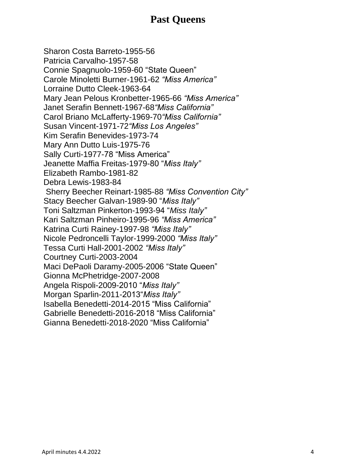# **Past Queens**

Sharon Costa Barreto-1955-56 Patricia Carvalho-1957-58 Connie Spagnuolo-1959-60 "State Queen" Carole Minoletti Burner-1961-62 *"Miss America"* Lorraine Dutto Cleek-1963-64 Mary Jean Pelous Kronbetter-1965-66 *"Miss America"* Janet Serafin Bennett-1967-68*"Miss California"* Carol Briano McLafferty-1969-70*"Miss California"* Susan Vincent-1971-72*"Miss Los Angeles"* Kim Serafin Benevides-1973-74 Mary Ann Dutto Luis-1975-76 Sally Curti-1977-78 "Miss America" Jeanette Maffia Freitas-1979-80 "*Miss Italy"* Elizabeth Rambo-1981-82 Debra Lewis-1983-84 Sherry Beecher Reinart-1985-88 *"Miss Convention City"* Stacy Beecher Galvan-1989-90 "*Miss Italy"* Toni Saltzman Pinkerton-1993-94 "*Miss Italy"* Kari Saltzman Pinheiro-1995-96 *"Miss America"* Katrina Curti Rainey-1997-98 *"Miss Italy"* Nicole Pedroncelli Taylor-1999-2000 *"Miss Italy"* Tessa Curti Hall-2001-2002 *"Miss Italy"* Courtney Curti-2003-2004 Maci DePaoli Daramy-2005-2006 "State Queen" Gionna McPhetridge-2007-2008 Angela Rispoli-2009-2010 "*Miss Italy"* Morgan Sparlin-2011-2013"*Miss Italy"* Isabella Benedetti-2014-2015 "Miss California" Gabrielle Benedetti-2016-2018 "Miss California" Gianna Benedetti-2018-2020 "Miss California"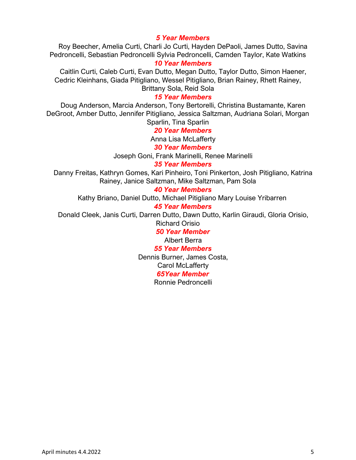## *5 Year Members*

Roy Beecher, Amelia Curti, Charli Jo Curti, Hayden DePaoli, James Dutto, Savina Pedroncelli, Sebastian Pedroncelli Sylvia Pedroncelli, Camden Taylor, Kate Watkins

#### *10 Year Members*

Caitlin Curti, Caleb Curti, Evan Dutto, Megan Dutto, Taylor Dutto, Simon Haener, Cedric Kleinhans, Giada Pitigliano, Wessel Pitigliano, Brian Rainey, Rhett Rainey,

Brittany Sola, Reid Sola

## *15 Year Members*

Doug Anderson, Marcia Anderson, Tony Bertorelli, Christina Bustamante, Karen DeGroot, Amber Dutto, Jennifer Pitigliano, Jessica Saltzman, Audriana Solari, Morgan Sparlin, Tina Sparlin

*20 Year Members*

Anna Lisa McLafferty

#### *30 Year Members*

Joseph Goni, Frank Marinelli, Renee Marinelli

*35 Year Members*

Danny Freitas, Kathryn Gomes, Kari Pinheiro, Toni Pinkerton, Josh Pitigliano, Katrina Rainey, Janice Saltzman, Mike Saltzman, Pam Sola

#### *40 Year Members*

Kathy Briano, Daniel Dutto, Michael Pitigliano Mary Louise Yribarren

#### *45 Year Members*

Donald Cleek, Janis Curti, Darren Dutto, Dawn Dutto, Karlin Giraudi, Gloria Orisio,

Richard Orisio

*50 Year Member*

Albert Berra

#### *55 Year Members*

Dennis Burner, James Costa, Carol McLafferty *65Year Member* Ronnie Pedroncelli